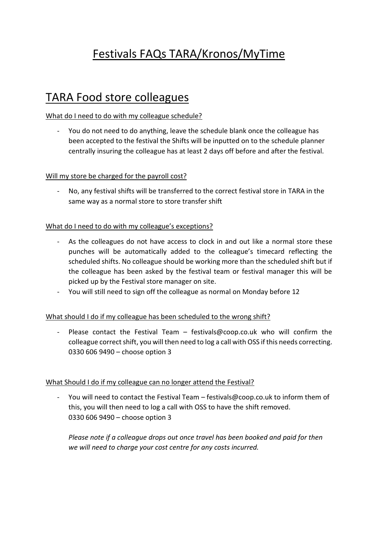# Festivals FAQs TARA/Kronos/MyTime

## TARA Food store colleagues

#### What do I need to do with my colleague schedule?

- You do not need to do anything, leave the schedule blank once the colleague has been accepted to the festival the Shifts will be inputted on to the schedule planner centrally insuring the colleague has at least 2 days off before and after the festival.

#### Will my store be charged for the payroll cost?

- No, any festival shifts will be transferred to the correct festival store in TARA in the same way as a normal store to store transfer shift

#### What do I need to do with my colleague's exceptions?

- As the colleagues do not have access to clock in and out like a normal store these punches will be automatically added to the colleague's timecard reflecting the scheduled shifts. No colleague should be working more than the scheduled shift but if the colleague has been asked by the festival team or festival manager this will be picked up by the Festival store manager on site.
- You will still need to sign off the colleague as normal on Monday before 12

### What should I do if my colleague has been scheduled to the wrong shift?

- Please contact the Festival Team – festivals@coop.co.uk who will confirm the colleague correct shift, you will then need to log a call with OSS if this needs correcting. 0330 606 9490 – choose option 3

#### What Should I do if my colleague can no longer attend the Festival?

You will need to contact the Festival Team – festivals@coop.co.uk to inform them of this, you will then need to log a call with OSS to have the shift removed. 0330 606 9490 – choose option 3

*Please note if a colleague drops out once travel has been booked and paid for then we will need to charge your cost centre for any costs incurred.*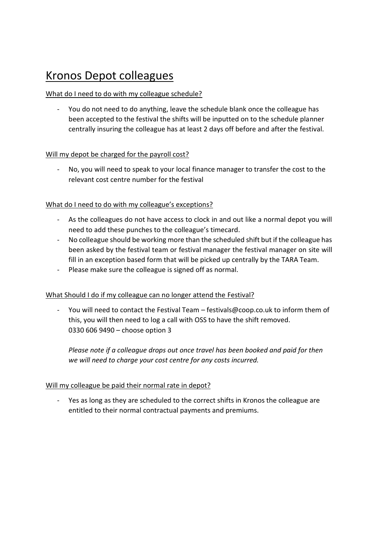## Kronos Depot colleagues

## What do I need to do with my colleague schedule?

- You do not need to do anything, leave the schedule blank once the colleague has been accepted to the festival the shifts will be inputted on to the schedule planner centrally insuring the colleague has at least 2 days off before and after the festival.

## Will my depot be charged for the payroll cost?

No, you will need to speak to your local finance manager to transfer the cost to the relevant cost centre number for the festival

## What do I need to do with my colleague's exceptions?

- As the colleagues do not have access to clock in and out like a normal depot you will need to add these punches to the colleague's timecard.
- No colleague should be working more than the scheduled shift but if the colleague has been asked by the festival team or festival manager the festival manager on site will fill in an exception based form that will be picked up centrally by the TARA Team.
- Please make sure the colleague is signed off as normal.

### What Should I do if my colleague can no longer attend the Festival?

- You will need to contact the Festival Team – festivals@coop.co.uk to inform them of this, you will then need to log a call with OSS to have the shift removed. 0330 606 9490 – choose option 3

*Please note if a colleague drops out once travel has been booked and paid for then we will need to charge your cost centre for any costs incurred.*

### Will my colleague be paid their normal rate in depot?

- Yes as long as they are scheduled to the correct shifts in Kronos the colleague are entitled to their normal contractual payments and premiums.